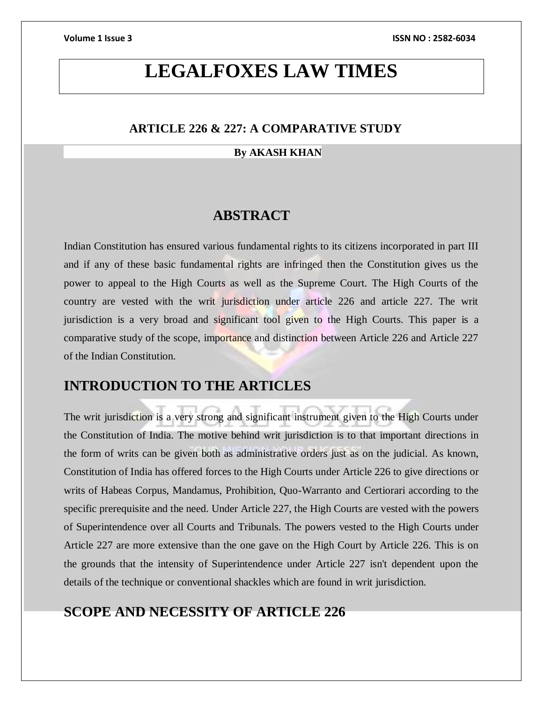# **LEGALFOXES LAW TIMES**

### **ARTICLE 226 & 227: A COMPARATIVE STUDY**

### **By AKASH KHAN**

## **ABSTRACT**

Indian Constitution has ensured various fundamental rights to its citizens incorporated in part III and if any of these basic fundamental rights are infringed then the Constitution gives us the power to appeal to the High Courts as well as the Supreme Court. The High Courts of the country are vested with the writ jurisdiction under article 226 and article 227. The writ jurisdiction is a very broad and significant tool given to the High Courts. This paper is a comparative study of the scope, importance and distinction between Article 226 and Article 227 of the Indian Constitution.

# **INTRODUCTION TO THE ARTICLES**

The writ jurisdiction is a very strong and significant instrument given to the High Courts under the Constitution of India. The motive behind writ jurisdiction is to that important directions in the form of writs can be given both as administrative orders just as on the judicial. As known, Constitution of India has offered forces to the High Courts under Article 226 to give directions or writs of Habeas Corpus, Mandamus, Prohibition, Quo-Warranto and Certiorari according to the specific prerequisite and the need. Under Article 227, the High Courts are vested with the powers of Superintendence over all Courts and Tribunals. The powers vested to the High Courts under Article 227 are more extensive than the one gave on the High Court by Article 226. This is on the grounds that the intensity of Superintendence under Article 227 isn't dependent upon the details of the technique or conventional shackles which are found in writ jurisdiction.

# **SCOPE AND NECESSITY OF ARTICLE 226**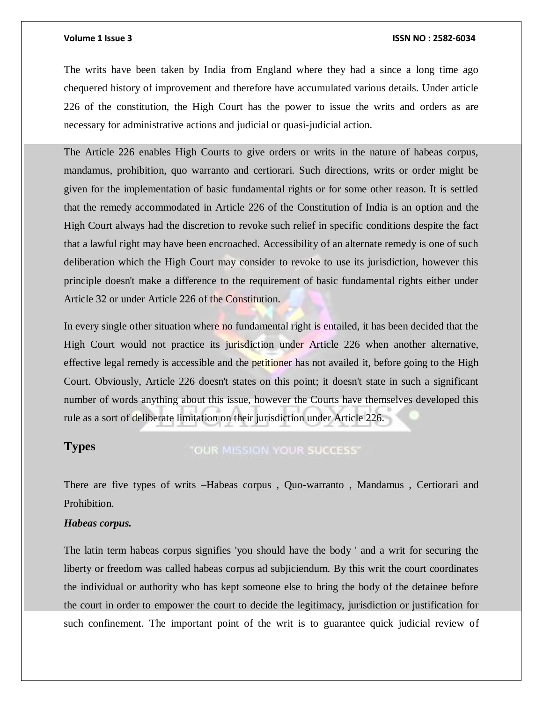The writs have been taken by India from England where they had a since a long time ago chequered history of improvement and therefore have accumulated various details. Under article 226 of the constitution, the High Court has the power to issue the writs and orders as are necessary for administrative actions and judicial or quasi-judicial action.

The Article 226 enables High Courts to give orders or writs in the nature of habeas corpus, mandamus, prohibition, quo warranto and certiorari. Such directions, writs or order might be given for the implementation of basic fundamental rights or for some other reason. It is settled that the remedy accommodated in Article 226 of the Constitution of India is an option and the High Court always had the discretion to revoke such relief in specific conditions despite the fact that a lawful right may have been encroached. Accessibility of an alternate remedy is one of such deliberation which the High Court may consider to revoke to use its jurisdiction, however this principle doesn't make a difference to the requirement of basic fundamental rights either under Article 32 or under Article 226 of the Constitution.

In every single other situation where no fundamental right is entailed, it has been decided that the High Court would not practice its jurisdiction under Article 226 when another alternative, effective legal remedy is accessible and the petitioner has not availed it, before going to the High Court. Obviously, Article 226 doesn't states on this point; it doesn't state in such a significant number of words anything about this issue, however the Courts have themselves developed this rule as a sort of deliberate limitation on their jurisdiction under Article 226.

### **Types**

### "OUR MISSION YOUR SUCCESS"

There are five types of writs –Habeas corpus , Quo-warranto , Mandamus , Certiorari and Prohibition.

### *Habeas corpus.*

The latin term habeas corpus signifies 'you should have the body ' and a writ for securing the liberty or freedom was called habeas corpus ad subjiciendum. By this writ the court coordinates the individual or authority who has kept someone else to bring the body of the detainee before the court in order to empower the court to decide the legitimacy, jurisdiction or justification for such confinement. The important point of the writ is to guarantee quick judicial review of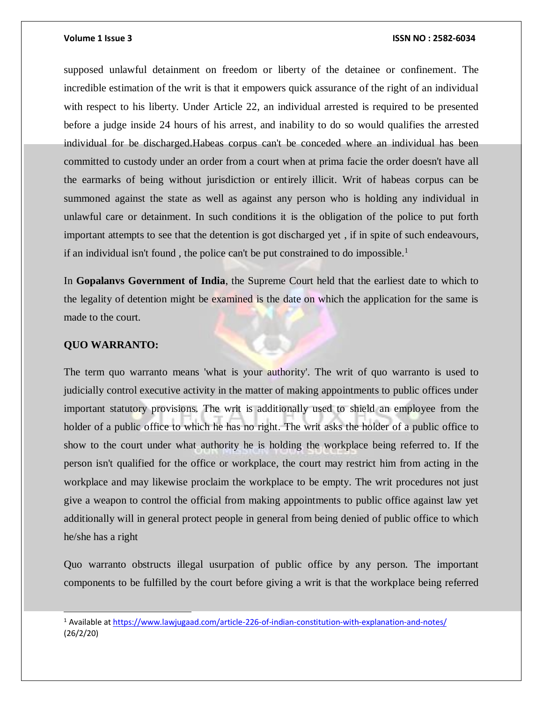supposed unlawful detainment on freedom or liberty of the detainee or confinement. The incredible estimation of the writ is that it empowers quick assurance of the right of an individual with respect to his liberty. Under Article 22, an individual arrested is required to be presented before a judge inside 24 hours of his arrest, and inability to do so would qualifies the arrested individual for be discharged.Habeas corpus can't be conceded where an individual has been committed to custody under an order from a court when at prima facie the order doesn't have all the earmarks of being without jurisdiction or entirely illicit. Writ of habeas corpus can be summoned against the state as well as against any person who is holding any individual in unlawful care or detainment. In such conditions it is the obligation of the police to put forth important attempts to see that the detention is got discharged yet , if in spite of such endeavours, if an individual isn't found, the police can't be put constrained to do impossible.<sup>1</sup>

In **Gopalanvs Government of India**, the Supreme Court held that the earliest date to which to the legality of detention might be examined is the date on which the application for the same is made to the court.

#### **QUO WARRANTO:**

l

The term quo warranto means 'what is your authority'. The writ of quo warranto is used to judicially control executive activity in the matter of making appointments to public offices under important statutory provisions. The writ is additionally used to shield an employee from the holder of a public office to which he has no right. The writ asks the holder of a public office to show to the court under what authority he is holding the workplace being referred to. If the person isn't qualified for the office or workplace, the court may restrict him from acting in the workplace and may likewise proclaim the workplace to be empty. The writ procedures not just give a weapon to control the official from making appointments to public office against law yet additionally will in general protect people in general from being denied of public office to which he/she has a right

Quo warranto obstructs illegal usurpation of public office by any person. The important components to be fulfilled by the court before giving a writ is that the workplace being referred

<sup>1</sup> Available a[t https://www.lawjugaad.com/article-226-of-indian-constitution-with-explanation-and-notes/](https://www.lawjugaad.com/article-226-of-indian-constitution-with-explanation-and-notes/) (26/2/20)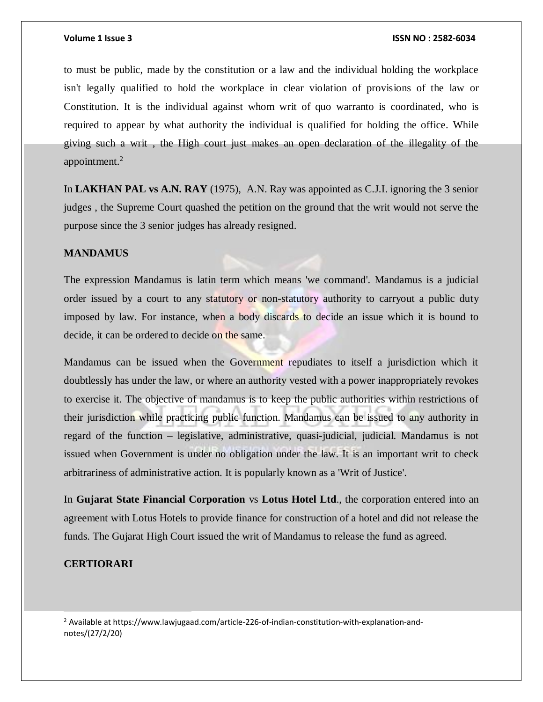to must be public, made by the constitution or a law and the individual holding the workplace isn't legally qualified to hold the workplace in clear violation of provisions of the law or Constitution. It is the individual against whom writ of quo warranto is coordinated, who is required to appear by what authority the individual is qualified for holding the office. While giving such a writ , the High court just makes an open declaration of the illegality of the appointment.<sup>2</sup>

In **LAKHAN PAL vs A.N. RAY** (1975), A.N. Ray was appointed as C.J.I. ignoring the 3 senior judges , the Supreme Court quashed the petition on the ground that the writ would not serve the purpose since the 3 senior judges has already resigned.

#### **MANDAMUS**

The expression Mandamus is latin term which means 'we command'. Mandamus is a judicial order issued by a court to any statutory or non-statutory authority to carryout a public duty imposed by law. For instance, when a body discards to decide an issue which it is bound to decide, it can be ordered to decide on the same.

Mandamus can be issued when the Government repudiates to itself a jurisdiction which it doubtlessly has under the law, or where an authority vested with a power inappropriately revokes to exercise it. The objective of mandamus is to keep the public authorities within restrictions of their jurisdiction while practicing public function. Mandamus can be issued to any authority in regard of the function – legislative, administrative, quasi-judicial, judicial. Mandamus is not issued when Government is under no obligation under the law. It is an important writ to check arbitrariness of administrative action. It is popularly known as a 'Writ of Justice'.

In **Gujarat State Financial Corporation** vs **Lotus Hotel Ltd**., the corporation entered into an agreement with Lotus Hotels to provide finance for construction of a hotel and did not release the funds. The Gujarat High Court issued the writ of Mandamus to release the fund as agreed.

#### **CERTIORARI**

l

<sup>2</sup> Available at https://www.lawjugaad.com/article-226-of-indian-constitution-with-explanation-andnotes/(27/2/20)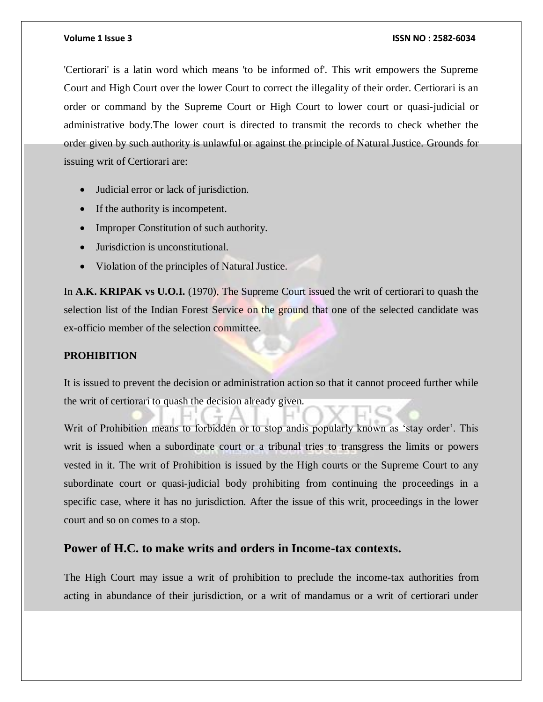'Certiorari' is a latin word which means 'to be informed of'. This writ empowers the Supreme Court and High Court over the lower Court to correct the illegality of their order. Certiorari is an order or command by the Supreme Court or High Court to lower court or quasi-judicial or administrative body.The lower court is directed to transmit the records to check whether the order given by such authority is unlawful or against the principle of Natural Justice. Grounds for issuing writ of Certiorari are:

- Judicial error or lack of jurisdiction.
- If the authority is incompetent.
- Improper Constitution of such authority.
- Jurisdiction is unconstitutional.
- Violation of the principles of Natural Justice.

In **A.K. KRIPAK vs U.O.I.** (1970), The Supreme Court issued the writ of certiorari to quash the selection list of the Indian Forest Service on the ground that one of the selected candidate was ex-officio member of the selection committee.

### **PROHIBITION**

It is issued to prevent the decision or administration action so that it cannot proceed further while the writ of certiorari to quash the decision already given.

Writ of Prohibition means to forbidden or to stop andis popularly known as 'stay order'. This writ is issued when a subordinate court or a tribunal tries to transgress the limits or powers vested in it. The writ of Prohibition is issued by the High courts or the Supreme Court to any subordinate court or quasi-judicial body prohibiting from continuing the proceedings in a specific case, where it has no jurisdiction. After the issue of this writ, proceedings in the lower court and so on comes to a stop.

### **Power of H.C. to make writs and orders in Income-tax contexts.**

The High Court may issue a writ of prohibition to preclude the income-tax authorities from acting in abundance of their jurisdiction, or a writ of mandamus or a writ of certiorari under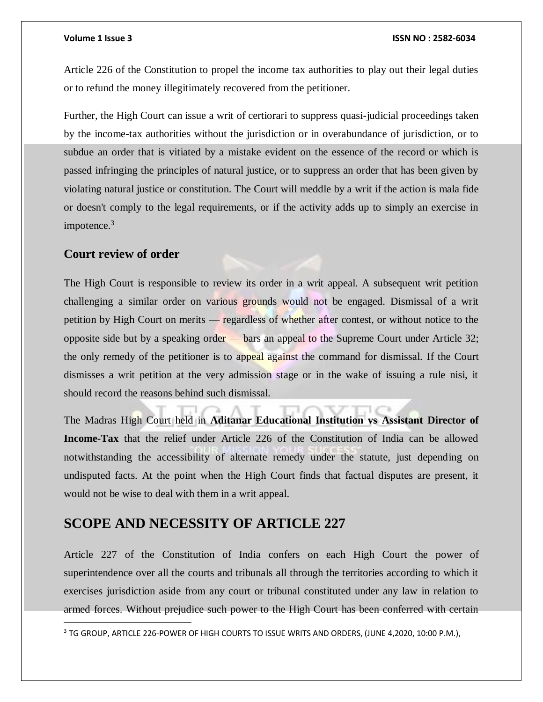Article 226 of the Constitution to propel the income tax authorities to play out their legal duties or to refund the money illegitimately recovered from the petitioner.

Further, the High Court can issue a writ of certiorari to suppress quasi-judicial proceedings taken by the income-tax authorities without the jurisdiction or in overabundance of jurisdiction, or to subdue an order that is vitiated by a mistake evident on the essence of the record or which is passed infringing the principles of natural justice, or to suppress an order that has been given by violating natural justice or constitution. The Court will meddle by a writ if the action is mala fide or doesn't comply to the legal requirements, or if the activity adds up to simply an exercise in impotence.<sup>3</sup>

### **Court review of order**

 $\overline{a}$ 

The High Court is responsible to review its order in a writ appeal. A subsequent writ petition challenging a similar order on various grounds would not be engaged. Dismissal of a writ petition by High Court on merits — regardless of whether after contest, or without notice to the opposite side but by a speaking order — bars an appeal to the Supreme Court under Article 32; the only remedy of the petitioner is to appeal against the command for dismissal. If the Court dismisses a writ petition at the very admission stage or in the wake of issuing a rule nisi, it should record the reasons behind such dismissal.

The Madras High Court held in **Aditanar Educational Institution vs Assistant Director of Income-Tax** that the relief under Article 226 of the Constitution of India can be allowed notwithstanding the accessibility of alternate remedy under the statute, just depending on undisputed facts. At the point when the High Court finds that factual disputes are present, it would not be wise to deal with them in a writ appeal.

# **SCOPE AND NECESSITY OF ARTICLE 227**

Article 227 of the Constitution of India confers on each High Court the power of superintendence over all the courts and tribunals all through the territories according to which it exercises jurisdiction aside from any court or tribunal constituted under any law in relation to armed forces. Without prejudice such power to the High Court has been conferred with certain

<sup>&</sup>lt;sup>3</sup> TG GROUP, ARTICLE 226-POWER OF HIGH COURTS TO ISSUE WRITS AND ORDERS, (JUNE 4,2020, 10:00 P.M.),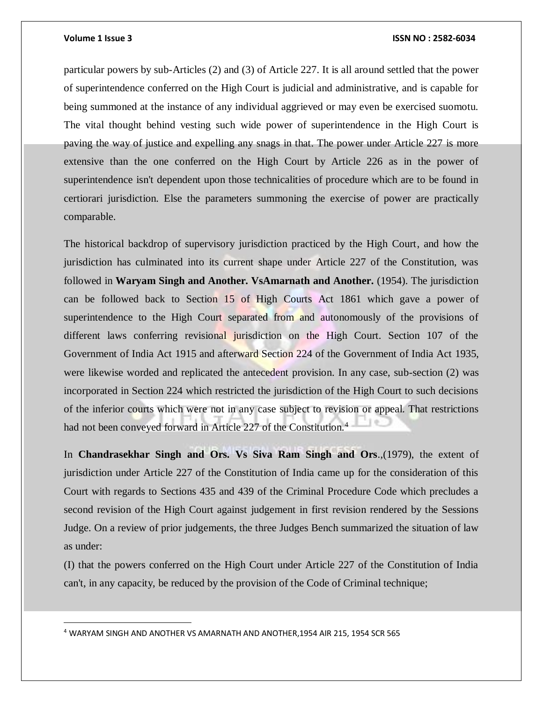$\overline{a}$ 

#### **Volume 1 Issue 3 ISSN NO : 2582-6034**

particular powers by sub-Articles (2) and (3) of Article 227. It is all around settled that the power of superintendence conferred on the High Court is judicial and administrative, and is capable for being summoned at the instance of any individual aggrieved or may even be exercised suomotu. The vital thought behind vesting such wide power of superintendence in the High Court is paving the way of justice and expelling any snags in that. The power under Article 227 is more extensive than the one conferred on the High Court by Article 226 as in the power of superintendence isn't dependent upon those technicalities of procedure which are to be found in certiorari jurisdiction. Else the parameters summoning the exercise of power are practically comparable.

The historical backdrop of supervisory jurisdiction practiced by the High Court, and how the jurisdiction has culminated into its current shape under Article 227 of the Constitution, was followed in **Waryam Singh and Another. VsAmarnath and Another.** (1954). The jurisdiction can be followed back to Section 15 of High Courts Act 1861 which gave a power of superintendence to the High Court separated from and autonomously of the provisions of different laws conferring revisional jurisdiction on the High Court. Section 107 of the Government of India Act 1915 and afterward Section 224 of the Government of India Act 1935, were likewise worded and replicated the antecedent provision. In any case, sub-section (2) was incorporated in Section 224 which restricted the jurisdiction of the High Court to such decisions of the inferior courts which were not in any case subject to revision or appeal. That restrictions had not been conveyed forward in Article 227 of the Constitution.<sup>4</sup>

In **Chandrasekhar Singh and Ors. Vs Siva Ram Singh and Ors**.,(1979), the extent of jurisdiction under Article 227 of the Constitution of India came up for the consideration of this Court with regards to Sections 435 and 439 of the Criminal Procedure Code which precludes a second revision of the High Court against judgement in first revision rendered by the Sessions Judge. On a review of prior judgements, the three Judges Bench summarized the situation of law as under:

(I) that the powers conferred on the High Court under Article 227 of the Constitution of India can't, in any capacity, be reduced by the provision of the Code of Criminal technique;

<sup>4</sup> WARYAM SINGH AND ANOTHER VS AMARNATH AND ANOTHER,1954 AIR 215, 1954 SCR 565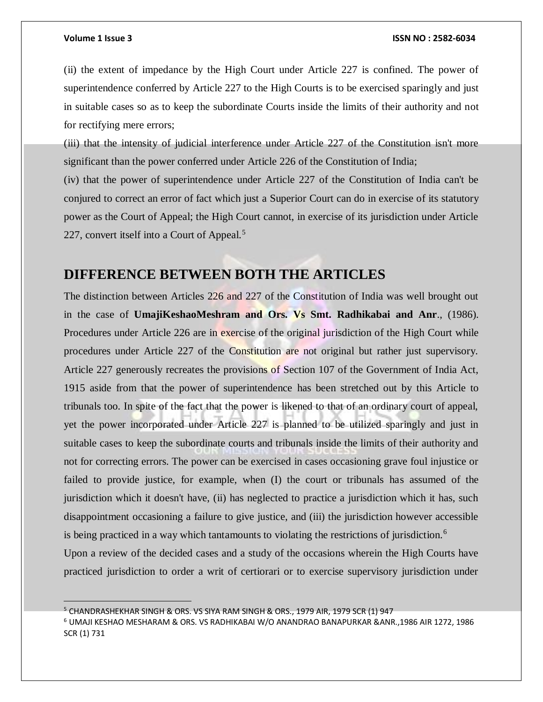(ii) the extent of impedance by the High Court under Article 227 is confined. The power of superintendence conferred by Article 227 to the High Courts is to be exercised sparingly and just in suitable cases so as to keep the subordinate Courts inside the limits of their authority and not for rectifying mere errors;

(iii) that the intensity of judicial interference under Article 227 of the Constitution isn't more significant than the power conferred under Article 226 of the Constitution of India;

(iv) that the power of superintendence under Article 227 of the Constitution of India can't be conjured to correct an error of fact which just a Superior Court can do in exercise of its statutory power as the Court of Appeal; the High Court cannot, in exercise of its jurisdiction under Article 227, convert itself into a Court of Appeal.<sup>5</sup>

# **DIFFERENCE BETWEEN BOTH THE ARTICLES**

The distinction between Articles 226 and 227 of the Constitution of India was well brought out in the case of **UmajiKeshaoMeshram and Ors. Vs Smt. Radhikabai and Anr**., (1986). Procedures under Article 226 are in exercise of the original jurisdiction of the High Court while procedures under Article 227 of the Constitution are not original but rather just supervisory. Article 227 generously recreates the provisions of Section 107 of the Government of India Act, 1915 aside from that the power of superintendence has been stretched out by this Article to tribunals too. In spite of the fact that the power is likened to that of an ordinary court of appeal, yet the power incorporated under Article 227 is planned to be utilized sparingly and just in suitable cases to keep the subordinate courts and tribunals inside the limits of their authority and not for correcting errors. The power can be exercised in cases occasioning grave foul injustice or failed to provide justice, for example, when (I) the court or tribunals has assumed of the jurisdiction which it doesn't have, (ii) has neglected to practice a jurisdiction which it has, such disappointment occasioning a failure to give justice, and (iii) the jurisdiction however accessible is being practiced in a way which tantamounts to violating the restrictions of jurisdiction.<sup>6</sup> Upon a review of the decided cases and a study of the occasions wherein the High Courts have practiced jurisdiction to order a writ of certiorari or to exercise supervisory jurisdiction under

<sup>&</sup>lt;sup>5</sup> CHANDRASHEKHAR SINGH & ORS. VS SIYA RAM SINGH & ORS., 1979 AIR, 1979 SCR (1) 947

<sup>6</sup> UMAJI KESHAO MESHARAM & ORS. VS RADHIKABAI W/O ANANDRAO BANAPURKAR &ANR.,1986 AIR 1272, 1986 SCR (1) 731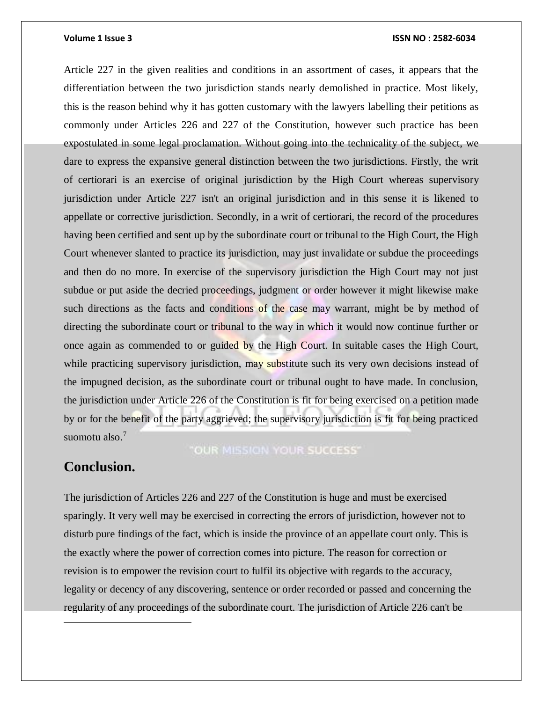Article 227 in the given realities and conditions in an assortment of cases, it appears that the differentiation between the two jurisdiction stands nearly demolished in practice. Most likely, this is the reason behind why it has gotten customary with the lawyers labelling their petitions as commonly under Articles 226 and 227 of the Constitution, however such practice has been expostulated in some legal proclamation. Without going into the technicality of the subject, we dare to express the expansive general distinction between the two jurisdictions. Firstly, the writ of certiorari is an exercise of original jurisdiction by the High Court whereas supervisory jurisdiction under Article 227 isn't an original jurisdiction and in this sense it is likened to appellate or corrective jurisdiction. Secondly, in a writ of certiorari, the record of the procedures having been certified and sent up by the subordinate court or tribunal to the High Court, the High Court whenever slanted to practice its jurisdiction, may just invalidate or subdue the proceedings and then do no more. In exercise of the supervisory jurisdiction the High Court may not just subdue or put aside the decried proceedings, judgment or order however it might likewise make such directions as the facts and conditions of the case may warrant, might be by method of directing the subordinate court or tribunal to the way in which it would now continue further or once again as commended to or guided by the High Court. In suitable cases the High Court, while practicing supervisory jurisdiction, may substitute such its very own decisions instead of the impugned decision, as the subordinate court or tribunal ought to have made. In conclusion, the jurisdiction under Article 226 of the Constitution is fit for being exercised on a petition made by or for the benefit of the party aggrieved; the supervisory jurisdiction is fit for being practiced suomotu also.<sup>7</sup>

### "OUR MISSION YOUR SUCCESS"

## **Conclusion.**

 $\overline{a}$ 

The jurisdiction of Articles 226 and 227 of the Constitution is huge and must be exercised sparingly. It very well may be exercised in correcting the errors of jurisdiction, however not to disturb pure findings of the fact, which is inside the province of an appellate court only. This is the exactly where the power of correction comes into picture. The reason for correction or revision is to empower the revision court to fulfil its objective with regards to the accuracy, legality or decency of any discovering, sentence or order recorded or passed and concerning the regularity of any proceedings of the subordinate court. The jurisdiction of Article 226 can't be